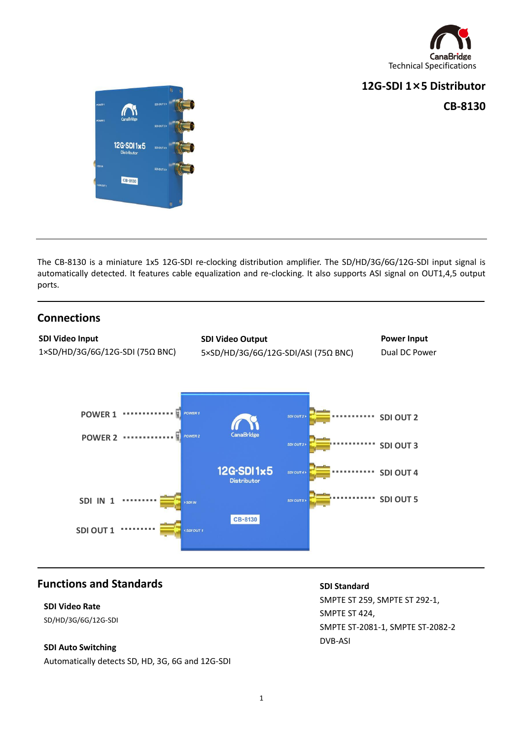

### **12G-SDI 1×5 Distributor**

**CB-8130**



The CB-8130 is a miniature 1x5 12G-SDI re-clocking distribution amplifier. The SD/HD/3G/6G/12G-SDI input signal is automatically detected. It features cable equalization and re-clocking. It also supports ASI signal on OUT1,4,5 output ports.

## **Connections**

L



## **Functions and Standards**

# **SDI Video Rate**

SD/HD/3G/6G/12G-SDI

#### **SDI Auto Switching**

Automatically detects SD, HD, 3G, 6G and 12G-SDI

#### **SDI Standard**

SMPTE ST 259, SMPTE ST 292-1, SMPTE ST 424, SMPTE ST-2081-1, SMPTE ST-2082-2 DVB-ASI